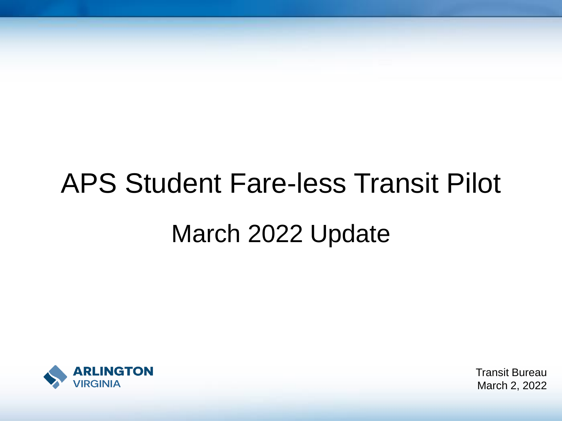# APS Student Fare-less Transit Pilot March 2022 Update



Transit Bureau March 2, 2022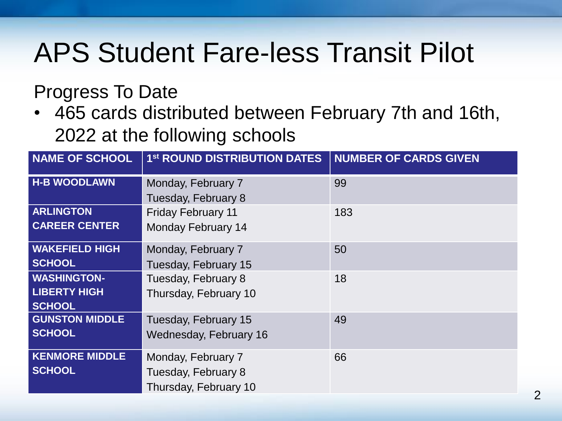#### Progress To Date

• 465 cards distributed between February 7th and 16th, 2022 at the following schools

| <b>NAME OF SCHOOL</b> | 1st ROUND DISTRIBUTION DATES | <b>NUMBER OF CARDS GIVEN</b> |
|-----------------------|------------------------------|------------------------------|
| <b>H-B WOODLAWN</b>   | Monday, February 7           | 99                           |
|                       | Tuesday, February 8          |                              |
| <b>ARLINGTON</b>      | <b>Friday February 11</b>    | 183                          |
| <b>CAREER CENTER</b>  | <b>Monday February 14</b>    |                              |
| <b>WAKEFIELD HIGH</b> | Monday, February 7           | 50                           |
| <b>SCHOOL</b>         | Tuesday, February 15         |                              |
| <b>WASHINGTON-</b>    | Tuesday, February 8          | 18                           |
| <b>LIBERTY HIGH</b>   | Thursday, February 10        |                              |
| <b>SCHOOL</b>         |                              |                              |
| <b>GUNSTON MIDDLE</b> | Tuesday, February 15         | 49                           |
| <b>SCHOOL</b>         | Wednesday, February 16       |                              |
| <b>KENMORE MIDDLE</b> | Monday, February 7           | 66                           |
| <b>SCHOOL</b>         | Tuesday, February 8          |                              |
|                       | Thursday, February 10        |                              |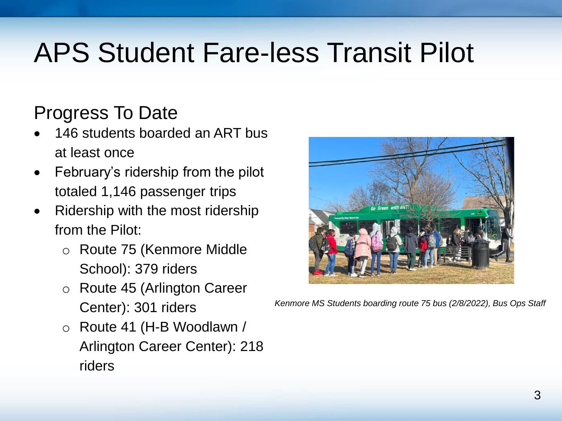#### Progress To Date

- 146 students boarded an ART bus at least once
- February's ridership from the pilot totaled 1,146 passenger trips
- Ridership with the most ridership from the Pilot:
	- o Route 75 (Kenmore Middle School): 379 riders
	- o Route 45 (Arlington Career Center): 301 riders
	- o Route 41 (H-B Woodlawn / Arlington Career Center): 218 riders



*Kenmore MS Students boarding route 75 bus (2/8/2022), Bus Ops Staff*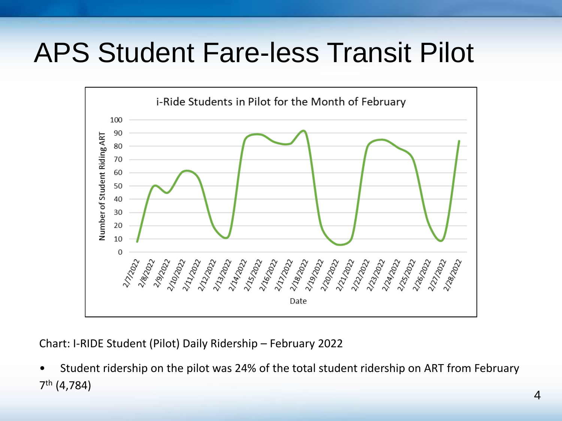

Chart: I-RIDE Student (Pilot) Daily Ridership – February 2022

• Student ridership on the pilot was 24% of the total student ridership on ART from February 7 th (4,784)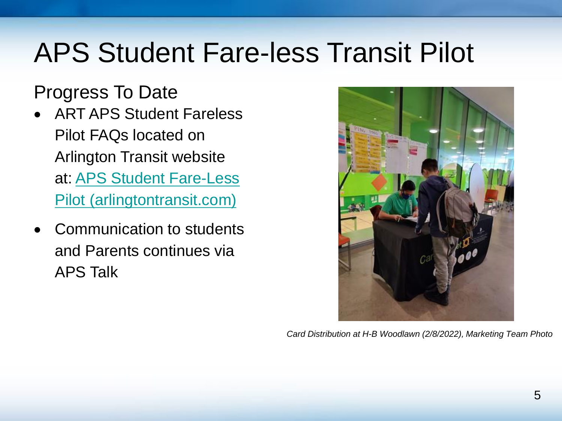#### Progress To Date

- ART APS Student Fareless Pilot FAQs located on Arlington Transit website at: APS Student Fare-Less [Pilot \(arlingtontransit.com\)](https://www.arlingtontransit.com/about/art-news/aps-student-fare-less-pilot/#:~:text=FAQs%20for%20Student%20Free%20Transit%20Fare%20Pilot%20What,is%20supported%20by%20the%20federal%20American%20Rescue%20Plan)
- Communication to students and Parents continues via APS Talk



*Card Distribution at H-B Woodlawn (2/8/2022), Marketing Team Photo*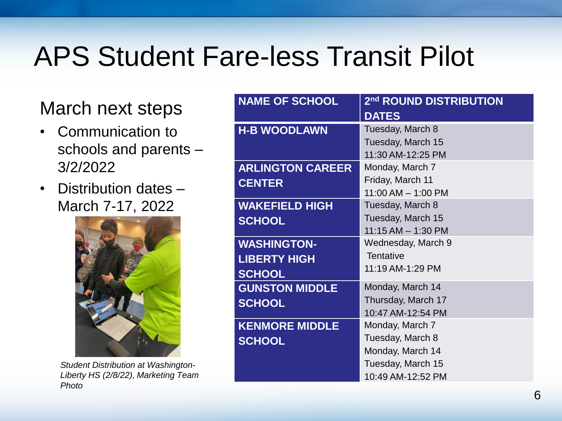#### March next steps

- Communication to schools and parents – 3/2/2022
- Distribution dates March 7-17, 2022



*Student Distribution at Washington-Liberty HS (2/8/22), Marketing Team Photo*

| <b>NAME OF SCHOOL</b>   | 2 <sup>nd</sup> ROUND DISTRIBUTION |
|-------------------------|------------------------------------|
|                         | <b>DATES</b>                       |
| <b>H-B WOODLAWN</b>     | Tuesday, March 8                   |
|                         | Tuesday, March 15                  |
|                         | 11:30 AM-12:25 PM                  |
| <b>ARLINGTON CAREER</b> | Monday, March 7                    |
| <b>CENTER</b>           | Friday, March 11                   |
|                         | $11:00$ AM $- 1:00$ PM             |
| <b>WAKEFIELD HIGH</b>   | Tuesday, March 8                   |
| <b>SCHOOL</b>           | Tuesday, March 15                  |
|                         | $11:15 AM - 1:30 PM$               |
| <b>WASHINGTON-</b>      | Wednesday, March 9                 |
| <b>LIBERTY HIGH</b>     | <b>Tentative</b>                   |
| <b>SCHOOL</b>           | 11:19 AM-1:29 PM                   |
| <b>GUNSTON MIDDLE</b>   | Monday, March 14                   |
| <b>SCHOOL</b>           | Thursday, March 17                 |
|                         | 10:47 AM-12:54 PM                  |
| <b>KENMORE MIDDLE</b>   | Monday, March 7                    |
| <b>SCHOOL</b>           | Tuesday, March 8                   |
|                         | Monday, March 14                   |
|                         | Tuesday, March 15                  |
|                         | 10:49 AM-12:52 PM                  |